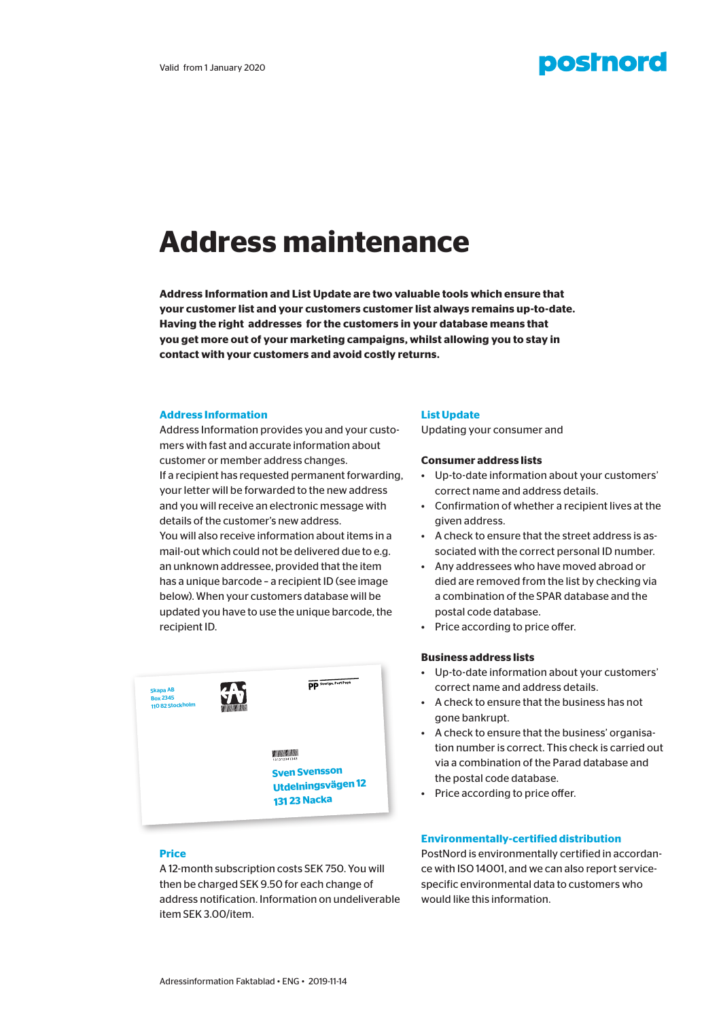# **postnord**

# **Address maintenance**

**Address Information and List Update are two valuable tools which ensure that your customer list and your customers customer list always remains up-to-date. Having the right addresses for the customers in your database means that you get more out of your marketing campaigns, whilst allowing you to stay in contact with your customers and avoid costly returns.**

#### **Address Information**

Address Information provides you and your customers with fast and accurate information about customer or member address changes. If a recipient has requested permanent forwarding, your letter will be forwarded to the new address and you will receive an electronic message with details of the customer's new address.

You will also receive information about items in a mail-out which could not be delivered due to e.g. an unknown addressee, provided that the item has a unique barcode – a recipient ID (see image below). When your customers database will be updated you have to use the unique barcode, the recipient ID.



# **Price**

A 12-month subscription costs SEK 750. You will then be charged SEK 9.50 for each change of address notification. Information on undeliverable item SEK 3.00/item.

#### **List Update**

Updating your consumer and

#### **Consumer address lists**

- Up-to-date information about your customers' correct name and address details.
- Confirmation of whether a recipient lives at the given address.
- A check to ensure that the street address is associated with the correct personal ID number.
- Any addressees who have moved abroad or died are removed from the list by checking via a combination of the SPAR database and the postal code database.
- Price according to price offer.

# **Business address lists**

- Up-to-date information about your customers' correct name and address details.
- A check to ensure that the business has not gone bankrupt.
- A check to ensure that the business' organisation number is correct. This check is carried out via a combination of the Parad database and the postal code database.
- Price according to price offer.

### **Environmentally-certified distribution**

PostNord is environmentally certified in accordance with ISO 14001, and we can also report servicespecific environmental data to customers who would like this information.